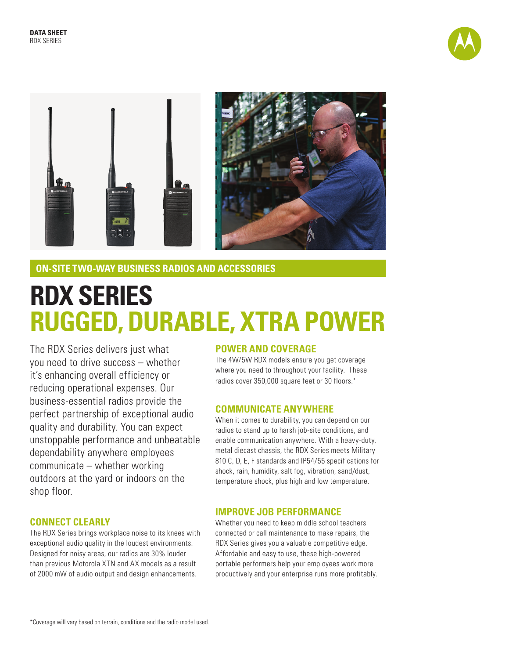



**ON-SITE TWO-WAY BUSINESS RADIOS AND ACCESSORIES**

# **RDX SERIES RUGGED, DURABLE, XTRA POWER**

The RDX Series delivers just what you need to drive success – whether it's enhancing overall efficiency or reducing operational expenses. Our business-essential radios provide the perfect partnership of exceptional audio quality and durability. You can expect unstoppable performance and unbeatable dependability anywhere employees communicate – whether working outdoors at the yard or indoors on the shop floor.

## **CONNECT CLEARLY**

The RDX Series brings workplace noise to its knees with exceptional audio quality in the loudest environments. Designed for noisy areas, our radios are 30% louder than previous Motorola XTN and AX models as a result of 2000 mW of audio output and design enhancements.

## **POWER AND COVERAGE**

The 4W/5W RDX models ensure you get coverage where you need to throughout your facility. These radios cover 350,000 square feet or 30 floors.\*

#### **COMMUNICATE ANYWHERE**

When it comes to durability, you can depend on our radios to stand up to harsh job-site conditions, and enable communication anywhere. With a heavy-duty, metal diecast chassis, the RDX Series meets Military 810 C, D, E, F standards and IP54/55 specifications for shock, rain, humidity, salt fog, vibration, sand/dust, temperature shock, plus high and low temperature.

## **IMPROVE JOB PERFORMANCE**

Whether you need to keep middle school teachers connected or call maintenance to make repairs, the RDX Series gives you a valuable competitive edge. Affordable and easy to use, these high-powered portable performers help your employees work more productively and your enterprise runs more profitably.